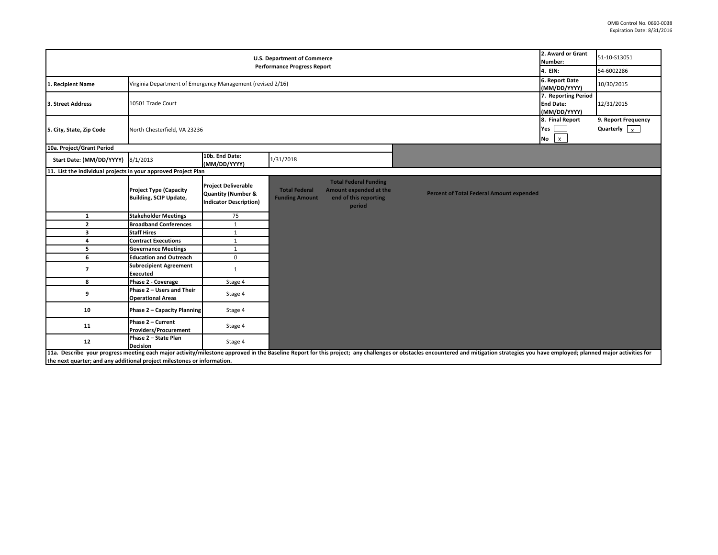| <b>U.S. Department of Commerce</b>                                      |                                                                              |                                                                                              |                                               |                                                                                           |                                                                                                                                                                                                                                | 2. Award or Grant<br>Number:       | 51-10-S13051                                |
|-------------------------------------------------------------------------|------------------------------------------------------------------------------|----------------------------------------------------------------------------------------------|-----------------------------------------------|-------------------------------------------------------------------------------------------|--------------------------------------------------------------------------------------------------------------------------------------------------------------------------------------------------------------------------------|------------------------------------|---------------------------------------------|
| <b>Performance Progress Report</b>                                      |                                                                              |                                                                                              |                                               |                                                                                           |                                                                                                                                                                                                                                |                                    | 54-6002286                                  |
| 1. Recipient Name                                                       | Virginia Department of Emergency Management (revised 2/16)                   |                                                                                              |                                               |                                                                                           |                                                                                                                                                                                                                                | 6. Report Date<br>(MM/DD/YYYY)     | 10/30/2015                                  |
| 3. Street Address                                                       | 7. Reporting Period<br>10501 Trade Court<br><b>End Date:</b><br>(MM/DD/YYYY) |                                                                                              |                                               |                                                                                           |                                                                                                                                                                                                                                |                                    | 12/31/2015                                  |
| 5. City, State, Zip Code                                                | North Chesterfield, VA 23236                                                 |                                                                                              |                                               |                                                                                           |                                                                                                                                                                                                                                | 8. Final Report<br>Yes<br>$No$ $x$ | 9. Report Frequency<br>Quarterly $\sqrt{x}$ |
| 10a. Project/Grant Period                                               |                                                                              |                                                                                              |                                               |                                                                                           |                                                                                                                                                                                                                                |                                    |                                             |
| Start Date: (MM/DD/YYYY)                                                | 8/1/2013                                                                     | 10b. End Date:<br>(MM/DD/YYYY)                                                               | 1/31/2018                                     |                                                                                           |                                                                                                                                                                                                                                |                                    |                                             |
| 11. List the individual projects in your approved Project Plan          |                                                                              |                                                                                              |                                               |                                                                                           |                                                                                                                                                                                                                                |                                    |                                             |
|                                                                         | <b>Project Type (Capacity</b><br><b>Building, SCIP Update,</b>               | <b>Project Deliverable</b><br><b>Quantity (Number &amp;</b><br><b>Indicator Description)</b> | <b>Total Federal</b><br><b>Funding Amount</b> | <b>Total Federal Funding</b><br>Amount expended at the<br>end of this reporting<br>period | <b>Percent of Total Federal Amount expended</b>                                                                                                                                                                                |                                    |                                             |
| $\mathbf{1}$                                                            | <b>Stakeholder Meetings</b>                                                  | 75                                                                                           |                                               |                                                                                           |                                                                                                                                                                                                                                |                                    |                                             |
| $\overline{2}$                                                          | <b>Broadband Conferences</b>                                                 | $\mathbf{1}$                                                                                 |                                               |                                                                                           |                                                                                                                                                                                                                                |                                    |                                             |
| 3                                                                       | <b>Staff Hires</b>                                                           | $\mathbf{1}$                                                                                 |                                               |                                                                                           |                                                                                                                                                                                                                                |                                    |                                             |
| 4                                                                       | <b>Contract Executions</b>                                                   | $\mathbf{1}$                                                                                 |                                               |                                                                                           |                                                                                                                                                                                                                                |                                    |                                             |
| 5                                                                       | <b>Governance Meetings</b>                                                   | $\mathbf{1}$                                                                                 |                                               |                                                                                           |                                                                                                                                                                                                                                |                                    |                                             |
| 6                                                                       | <b>Education and Outreach</b>                                                | $\mathsf 0$                                                                                  |                                               |                                                                                           |                                                                                                                                                                                                                                |                                    |                                             |
| $\overline{\phantom{a}}$                                                | <b>Subrecipient Agreement</b><br><b>Executed</b>                             | $\mathbf{1}$                                                                                 |                                               |                                                                                           |                                                                                                                                                                                                                                |                                    |                                             |
| 8                                                                       | Phase 2 - Coverage                                                           | Stage 4                                                                                      |                                               |                                                                                           |                                                                                                                                                                                                                                |                                    |                                             |
| 9                                                                       | Phase 2 - Users and Their<br><b>Operational Areas</b>                        | Stage 4                                                                                      |                                               |                                                                                           |                                                                                                                                                                                                                                |                                    |                                             |
| 10                                                                      | <b>Phase 2 - Capacity Planning</b>                                           | Stage 4                                                                                      |                                               |                                                                                           |                                                                                                                                                                                                                                |                                    |                                             |
| 11                                                                      | Phase 2 - Current<br><b>Providers/Procurement</b>                            | Stage 4                                                                                      |                                               |                                                                                           |                                                                                                                                                                                                                                |                                    |                                             |
| 12                                                                      | Phase 2 - State Plan<br><b>Decision</b>                                      | Stage 4                                                                                      |                                               |                                                                                           |                                                                                                                                                                                                                                |                                    |                                             |
| the next quarter; and any additional project milestones or information. |                                                                              |                                                                                              |                                               |                                                                                           | 11a. Describe your progress meeting each major activity/milestone approved in the Baseline Report for this project; any challenges or obstacles encountered and mitigation strategies you have employed; planned major activit |                                    |                                             |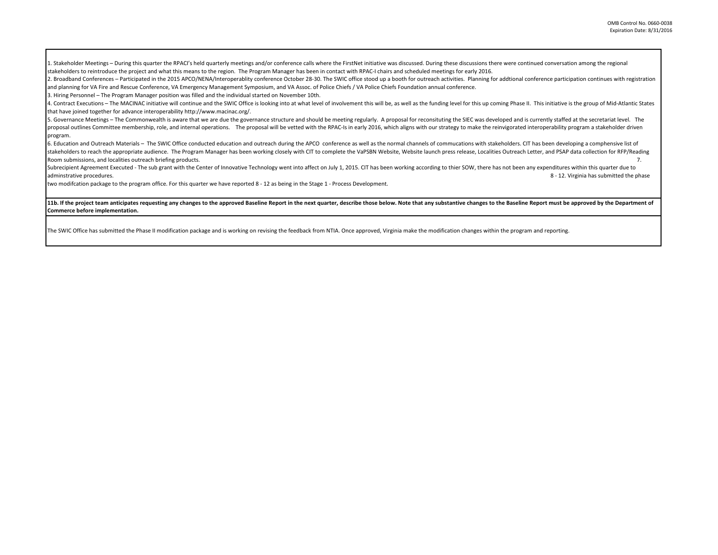1. Stakeholder Meetings - During this quarter the RPACI's held quarterly meetings and/or conference calls where the FirstNet initiative was discussed. During these discussions there were continued conversation among the re stakeholders to reintroduce the project and what this means to the region. The Program Manager has been in contact with RPAC-I chairs and scheduled meetings for early 2016.

2. Broadband Conferences - Participated in the 2015 APCO/NENA/Interoperablity conference October 28-30. The SWIC office stood up a booth for outreach activities. Planning for addtional conference participation continues wi and planning for VA Fire and Rescue Conference, VA Emergency Management Symposium, and VA Assoc. of Police Chiefs / VA Police Chiefs Foundation annual conference.

3. Hiring Personnel – The Program Manager position was filled and the individual started on November 10th.

4. Contract Executions - The MACINAC initiative will continue and the SWIC Office is looking into at what level of involvement this will be, as well as the funding level for this up coming Phase II. This initiative is the that have joined together for advance interoperability http://www.macinac.org/.

5. Governance Meetings - The Commonwealth is aware that we are due the governance structure and should be meeting regularly. A proposal for reconsituting the SIEC was developed and is currently staffed at the secretariat l proposal outlines Committee membership, role, and internal operations. The proposal will be vetted with the RPAC-Is in early 2016, which aligns with our strategy to make the reinvigorated interoperability program a stakeho program.

6. Education and Outreach Materials - The SWIC Office conducted education and outreach during the APCO conference as well as the normal channels of commucations with stakeholders. CIT has been developing a comphensive list stakeholders to reach the appropriate audience. The Program Manager has been working closely with CIT to complete the VaPSBN Website, Website launch press release, Localities Outreach Letter, and PSAP data collection for R Room submissions, and localities outreach briefing products. 7.

Subrecipient Agreement Executed - The sub grant with the Center of Innovative Technology went into affect on July 1, 2015. CIT has been working according to thier SOW, there has not been any expenditures within this quarte adminstrative procedures. 8 - 12. Virginia has submitted the phase

two modifcation package to the program office. For this quarter we have reported 8 - 12 as being in the Stage 1 - Process Development.

11b. If the project team anticipates requesting any changes to the approved Baseline Report in the next quarter, describe those below. Note that any substantive changes to the Baseline Report must be approved by the Depart **Commerce before implementation.** 

The SWIC Office has submitted the Phase II modification package and is working on revising the feedback from NTIA. Once approved, Virginia make the modification changes within the program and reporting.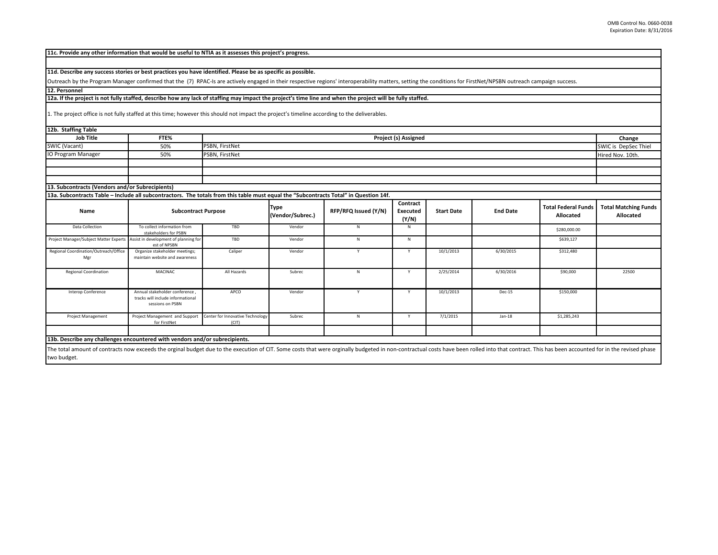| 11c. Provide any other information that would be useful to NTIA as it assesses this project's progress.                                                                                                         |                                                                                        |                                           |                                 |                      |                                      |                   |                 |                                         |                                          |  |
|-----------------------------------------------------------------------------------------------------------------------------------------------------------------------------------------------------------------|----------------------------------------------------------------------------------------|-------------------------------------------|---------------------------------|----------------------|--------------------------------------|-------------------|-----------------|-----------------------------------------|------------------------------------------|--|
|                                                                                                                                                                                                                 |                                                                                        |                                           |                                 |                      |                                      |                   |                 |                                         |                                          |  |
| 11d. Describe any success stories or best practices you have identified. Please be as specific as possible.                                                                                                     |                                                                                        |                                           |                                 |                      |                                      |                   |                 |                                         |                                          |  |
| Outreach by the Program Manager confirmed that the (7) RPAC-Is are actively engaged in their respective regions' interoperability matters, setting the conditions for FirstNet/NPSBN outreach campaign success. |                                                                                        |                                           |                                 |                      |                                      |                   |                 |                                         |                                          |  |
| 12. Personnel                                                                                                                                                                                                   |                                                                                        |                                           |                                 |                      |                                      |                   |                 |                                         |                                          |  |
| 12a. If the project is not fully staffed, describe how any lack of staffing may impact the project's time line and when the project will be fully staffed.                                                      |                                                                                        |                                           |                                 |                      |                                      |                   |                 |                                         |                                          |  |
| 1. The project office is not fully staffed at this time; however this should not impact the project's timeline according to the deliverables.                                                                   |                                                                                        |                                           |                                 |                      |                                      |                   |                 |                                         |                                          |  |
| 12b. Staffing Table                                                                                                                                                                                             |                                                                                        |                                           |                                 |                      |                                      |                   |                 |                                         |                                          |  |
| <b>Job Title</b>                                                                                                                                                                                                | FTE%                                                                                   |                                           | Project (s) Assigned<br>Change  |                      |                                      |                   |                 |                                         |                                          |  |
| SWIC (Vacant)                                                                                                                                                                                                   | 50%                                                                                    | PSBN, FirstNet                            | SWIC is DepSec Thiel            |                      |                                      |                   |                 |                                         |                                          |  |
| <b>IO Program Manager</b>                                                                                                                                                                                       | 50%                                                                                    | PSBN, FirstNet                            |                                 |                      |                                      |                   |                 |                                         | Hired Nov. 10th.                         |  |
|                                                                                                                                                                                                                 |                                                                                        |                                           |                                 |                      |                                      |                   |                 |                                         |                                          |  |
|                                                                                                                                                                                                                 |                                                                                        |                                           |                                 |                      |                                      |                   |                 |                                         |                                          |  |
|                                                                                                                                                                                                                 |                                                                                        |                                           |                                 |                      |                                      |                   |                 |                                         |                                          |  |
| 13. Subcontracts (Vendors and/or Subrecipients)                                                                                                                                                                 |                                                                                        |                                           |                                 |                      |                                      |                   |                 |                                         |                                          |  |
| 13a. Subcontracts Table - Include all subcontractors. The totals from this table must equal the "Subcontracts Total" in Question 14f.                                                                           |                                                                                        |                                           |                                 |                      |                                      |                   |                 |                                         |                                          |  |
| Name                                                                                                                                                                                                            | <b>Subcontract Purpose</b>                                                             |                                           | <b>Type</b><br>(Vendor/Subrec.) | RFP/RFQ Issued (Y/N) | Contract<br><b>Executed</b><br>(Y/N) | <b>Start Date</b> | <b>End Date</b> | <b>Total Federal Funds</b><br>Allocated | <b>Total Matching Funds</b><br>Allocated |  |
| Data Collection                                                                                                                                                                                                 | To collect information from<br>stakeholders for PSBN                                   | TBD                                       | Vendor                          | N                    | N                                    |                   |                 | \$280,000.00                            |                                          |  |
| Project Manager/Subject Matter Experts                                                                                                                                                                          | Assist in development of planning for<br>est of NPSBN                                  | TBD                                       | Vendor                          | N                    | N                                    |                   |                 | \$639,127                               |                                          |  |
| Regional Coordination/Outreach/Office<br>Mgr                                                                                                                                                                    | Organize stakeholder meetings;<br>maintain website and awareness                       | Caliper                                   | Vendor                          | Y                    | Y                                    | 10/1/2013         | 6/30/2015       | \$312,480                               |                                          |  |
| <b>Regional Coordination</b>                                                                                                                                                                                    | <b>MACINAC</b>                                                                         | All Hazards                               | Subrec                          | N                    | Y                                    | 2/25/2014         | 6/30/2016       | \$90,000                                | 22500                                    |  |
| Interop Conference                                                                                                                                                                                              | Annual stakeholder conference<br>tracks will include informational<br>sessions on PSBN | APCO                                      | Vendor                          | Y                    | Y                                    | 10/1/2013         | Dec-15          | \$150,000                               |                                          |  |
| Project Management                                                                                                                                                                                              | Project Management and Support<br>for FirstNet                                         | Center for Innovative Technology<br>(CIT) | Subrec                          | N                    | Y                                    | 7/1/2015          | $Jan-18$        | \$1,285,243                             |                                          |  |
|                                                                                                                                                                                                                 |                                                                                        |                                           |                                 |                      |                                      |                   |                 |                                         |                                          |  |
| 13b. Describe any challenges encountered with vendors and/or subrecipients.                                                                                                                                     |                                                                                        |                                           |                                 |                      |                                      |                   |                 |                                         |                                          |  |
|                                                                                                                                                                                                                 |                                                                                        |                                           |                                 |                      |                                      |                   |                 |                                         |                                          |  |

The total amount of contracts now exceeds the orginal budget due to the execution of CIT. Some costs that were orginally budgeted in non-contractual costs have been rolled into that contract. This has been accounted for in two budget.